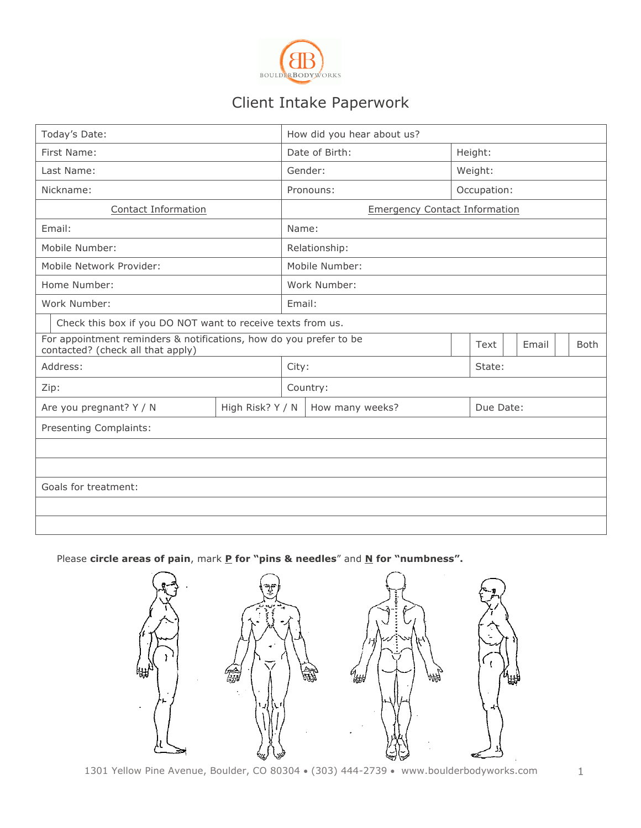

# Client Intake Paperwork

| Today's Date:                                                                                           |                  | How did you hear about us? |                                      |             |           |       |             |  |
|---------------------------------------------------------------------------------------------------------|------------------|----------------------------|--------------------------------------|-------------|-----------|-------|-------------|--|
| First Name:                                                                                             |                  | Date of Birth:             |                                      |             | Height:   |       |             |  |
| Last Name:                                                                                              |                  | Gender:                    |                                      |             | Weight:   |       |             |  |
| Nickname:                                                                                               |                  |                            | Pronouns:                            | Occupation: |           |       |             |  |
| Contact Information                                                                                     |                  |                            | <b>Emergency Contact Information</b> |             |           |       |             |  |
| Email:                                                                                                  |                  | Name:                      |                                      |             |           |       |             |  |
| Mobile Number:                                                                                          |                  | Relationship:              |                                      |             |           |       |             |  |
| Mobile Network Provider:                                                                                |                  | Mobile Number:             |                                      |             |           |       |             |  |
| Home Number:                                                                                            |                  | Work Number:               |                                      |             |           |       |             |  |
| Work Number:                                                                                            |                  |                            | Email:                               |             |           |       |             |  |
| Check this box if you DO NOT want to receive texts from us.                                             |                  |                            |                                      |             |           |       |             |  |
| For appointment reminders & notifications, how do you prefer to be<br>contacted? (check all that apply) |                  |                            |                                      |             |           | Email | <b>Both</b> |  |
| Address:                                                                                                |                  |                            | City:<br>State:                      |             |           |       |             |  |
| Zip:                                                                                                    |                  |                            | Country:                             |             |           |       |             |  |
| Are you pregnant? Y / N                                                                                 | High Risk? Y / N |                            | How many weeks?                      |             | Due Date: |       |             |  |
| Presenting Complaints:                                                                                  |                  |                            |                                      |             |           |       |             |  |
|                                                                                                         |                  |                            |                                      |             |           |       |             |  |
|                                                                                                         |                  |                            |                                      |             |           |       |             |  |
| Goals for treatment:                                                                                    |                  |                            |                                      |             |           |       |             |  |
|                                                                                                         |                  |                            |                                      |             |           |       |             |  |
|                                                                                                         |                  |                            |                                      |             |           |       |             |  |

Please **circle areas of pain**, mark **P** for "pins & needles" and N for "numbness".

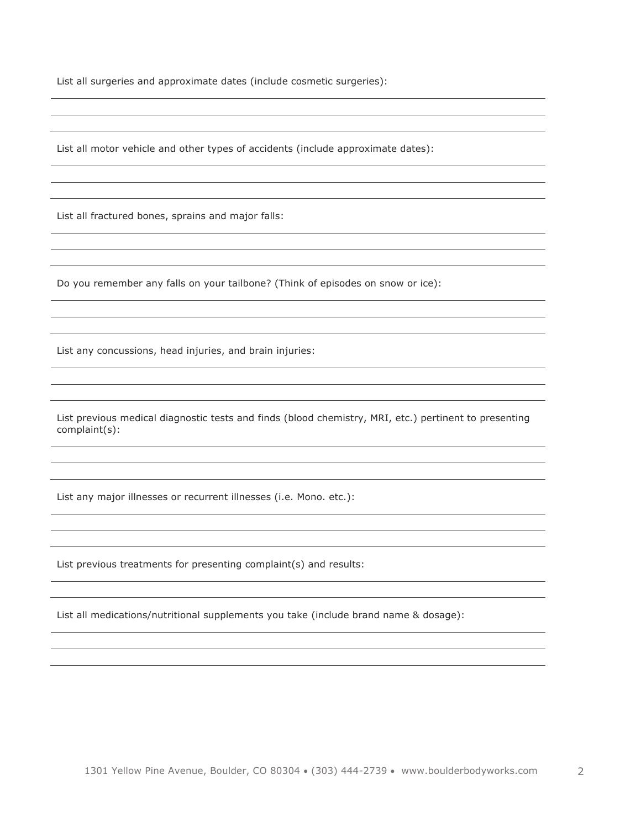List all surgeries and approximate dates (include cosmetic surgeries):

List all motor vehicle and other types of accidents (include approximate dates):

List all fractured bones, sprains and major falls:

Do you remember any falls on your tailbone? (Think of episodes on snow or ice):

List any concussions, head injuries, and brain injuries:

List previous medical diagnostic tests and finds (blood chemistry, MRI, etc.) pertinent to presenting complaint(s):

List any major illnesses or recurrent illnesses (i.e. Mono. etc.):

List previous treatments for presenting complaint(s) and results:

List all medications/nutritional supplements you take (include brand name & dosage):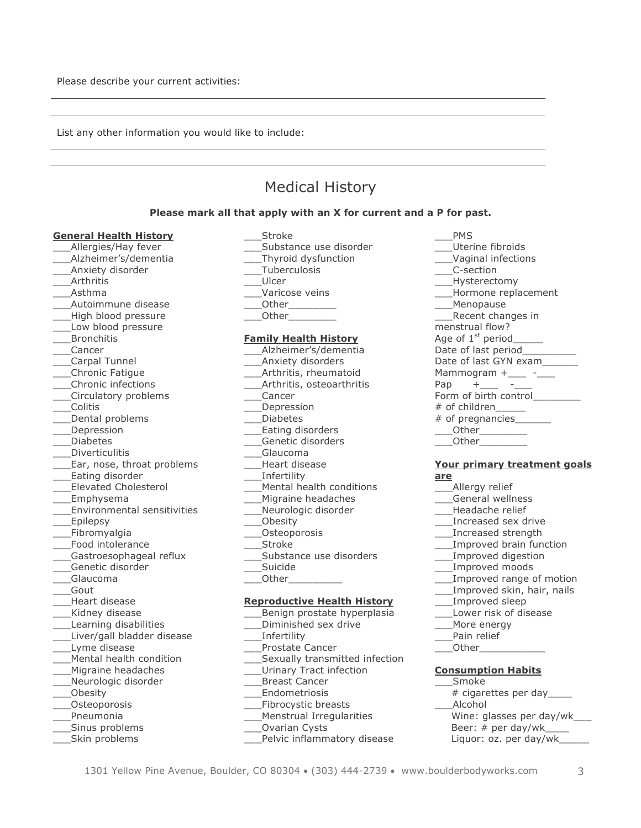List any other information you would like to include:

## Medical History

#### **Please mark all that apply with an X for current and a P for past.**

#### **General Health History**

- \_\_\_Allergies/Hay fever
- \_\_\_Alzheimer's/dementia
- \_\_\_Anxiety disorder
- **Arthritis** \_\_\_Asthma
- 
- \_\_\_Autoimmune disease
- \_\_\_High blood pressure Low blood pressure
- **Bronchitis**
- \_\_\_Cancer
- 
- \_\_\_Carpal Tunnel \_\_\_Chronic Fatigue
- \_\_\_Chronic infections
- 
- \_\_\_Circulatory problems \_\_\_Colitis
- 
- \_\_\_Dental problems
- \_\_\_Depression
- \_\_\_Diabetes
- \_\_\_Diverticulitis
- \_\_\_Ear, nose, throat problems
- \_\_\_Eating disorder
- \_\_\_Elevated Cholesterol
- \_\_\_Emphysema
- \_\_\_Environmental sensitivities
- Epilepsy
- \_\_\_Fibromyalgia
- \_\_\_Food intolerance
- Gastroesophageal reflux
- \_\_\_Genetic disorder
- \_\_\_Glaucoma
- \_\_\_Gout
- \_\_\_Heart disease
- Kidney disease
- \_\_\_Learning disabilities
- \_\_\_Liver/gall bladder disease \_\_\_Lyme disease
- \_\_\_Mental health condition
- \_\_\_Migraine headaches
- \_\_\_Neurologic disorder
- \_\_\_Obesity
- \_\_\_Osteoporosis
- \_\_\_Pneumonia
- \_\_\_Sinus problems
- \_\_\_Skin problems
- \_\_\_Stroke Substance use disorder \_\_\_Thyroid dysfunction \_\_\_Tuberculosis \_\_\_Ulcer
- Varicose veins
- \_\_\_Other\_\_\_\_\_\_\_\_
- Other

#### **Family Health History**

- \_\_\_Alzheimer's/dementia
- \_\_\_Anxiety disorders \_\_\_Arthritis, rheumatoid
- \_\_\_Arthritis, osteoarthritis
- \_\_\_Cancer
- **Depression**
- \_\_\_Diabetes
- \_\_\_Eating disorders
- \_\_\_Genetic disorders
- \_\_\_Glaucoma
- \_\_\_Heart disease
- \_\_\_Infertility
- \_\_\_Mental health conditions
- \_\_\_Migraine headaches
- Neurologic disorder
- \_\_\_Obesity
- \_\_\_Osteoporosis
- \_\_\_Stroke
- \_\_\_Substance use disorders
- \_\_\_Suicide
- \_\_\_Other\_\_\_\_\_\_\_\_\_

#### **Reproductive Health History**

- \_\_\_Benign prostate hyperplasia
- \_\_\_Diminished sex drive
- \_\_\_Infertility
- \_\_\_Prostate Cancer
- Sexually transmitted infection
- \_\_\_Urinary Tract infection
- \_\_\_Breast Cancer
- \_\_\_Endometriosis
- \_\_\_Fibrocystic breasts
- \_\_\_Menstrual Irregularities
- \_\_\_Ovarian Cysts
- \_\_\_Pelvic inflammatory disease

1301 Yellow Pine Avenue, Boulder, CO 80304 • (303) 444-2739 • www.boulderbodyworks.com 3

\_\_\_PMS \_\_\_Uterine fibroids \_\_\_Vaginal infections \_\_\_C-section Hysterectomy \_\_\_Hormone replacement \_\_\_Menopause \_\_\_Recent changes in menstrual flow? Age of 1<sup>st</sup> period Date of last period Date of last GYN exam Mammogram  $+$ \_\_\_  $-$ Pap  $+$ Form of birth control # of children\_\_\_\_\_  $#$  of pregnancies \_\_\_Other\_\_\_\_\_\_\_\_ Other

#### **Your primary treatment goals are**

- Allergy relief
- \_\_\_General wellness
- \_\_\_Headache relief
- \_\_\_Increased sex drive
- \_\_\_Increased strength
- Improved brain function
- \_\_\_Improved digestion
- \_\_\_Improved moods
- Improved range of motion
- Improved skin, hair, nails
- \_\_\_Improved sleep

Pain relief \_\_\_Other\_\_\_\_\_\_\_\_\_\_\_

\_\_\_Smoke

\_\_\_Alcohol

\_\_\_Lower risk of disease More energy

**Consumption Habits**

# cigarettes per day\_\_\_\_

 Wine: glasses per day/wk\_\_\_ Beer:  $#$  per day/wk Liquor: oz. per day/wk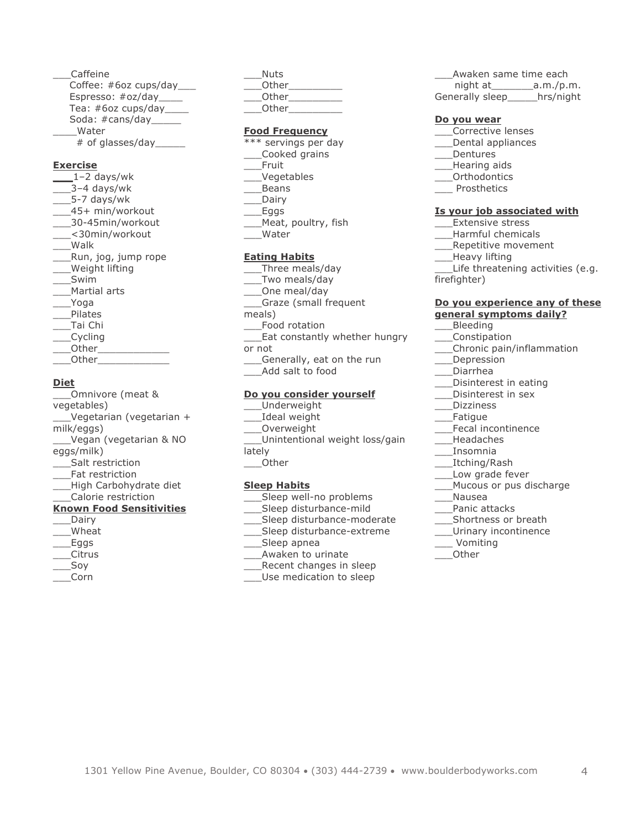\_\_\_Caffeine Coffee: #6oz cups/day\_\_\_ Espresso: #oz/day\_\_\_\_\_ Tea: #6oz cups/day\_\_\_\_ Soda: #cans/day\_\_\_\_\_ \_\_\_\_Water # of glasses/day\_\_\_\_\_

#### **Exercise**

**\_\_\_**1–2 days/wk  $-3-4$  days/wk \_\_\_5-7 days/wk \_\_\_45+ min/workout \_\_\_30-45min/workout \_\_\_<30min/workout \_\_\_Walk \_\_\_Run, jog, jump rope \_\_\_Weight lifting \_\_\_Swim \_\_\_Martial arts \_\_\_Yoga \_\_\_Pilates \_\_\_Tai Chi \_\_\_Cycling  $\rule{1em}{0}$  Other \_\_\_Other\_\_\_\_\_\_\_\_\_\_\_\_

#### **Diet**

\_\_\_Omnivore (meat & vegetables) \_\_\_Vegetarian (vegetarian + milk/eggs) \_\_\_Vegan (vegetarian & NO eggs/milk) \_\_\_Salt restriction \_\_\_Fat restriction \_\_\_High Carbohydrate diet \_\_\_Calorie restriction **Known Food Sensitivities** \_\_\_Dairy \_\_\_Wheat \_\_\_Eggs \_\_\_Citrus \_\_\_Soy

\_\_\_Corn

\_\_\_Nuts Other \_\_\_Other\_\_\_\_\_\_\_\_\_ Other

#### **Food Frequency**

\*\*\* servings per day \_\_\_Cooked grains \_\_\_Fruit \_\_\_Vegetables \_\_\_Beans \_\_\_Dairy  $_{\_\_\_$ Eggs} \_\_\_Meat, poultry, fish \_\_\_Water

#### **Eating Habits**

\_\_\_Three meals/day \_\_\_Two meals/day \_\_\_One meal/day \_\_\_Graze (small frequent meals) Food rotation Eat constantly whether hungry or not \_\_\_Generally, eat on the run \_\_\_Add salt to food

#### **Do you consider yourself**

\_\_\_Underweight \_\_\_Ideal weight \_\_\_Overweight \_\_\_Unintentional weight loss/gain lately

\_\_\_Other

#### **Sleep Habits**

- Sleep well-no problems
- Sleep disturbance-mild
- Sleep disturbance-moderate
- Sleep disturbance-extreme
- Sleep apnea
- Awaken to urinate
- Recent changes in sleep
- Use medication to sleep

\_\_\_Awaken same time each night at a.m./p.m. Generally sleep\_\_\_\_\_hrs/night

#### **Do you wear**

- \_\_\_Corrective lenses
- \_\_\_Dental appliances
- \_\_\_Dentures
- \_\_\_Hearing aids
- \_\_\_Orthodontics
- **Prosthetics**

#### **Is your job associated with**

\_\_\_Extensive stress

- \_\_\_Harmful chemicals
- \_\_\_Repetitive movement
- \_\_\_Heavy lifting
- Life threatening activities (e.g.

firefighter)

#### **Do you experience any of these general symptoms daily?**

- \_\_\_Bleeding
- \_\_\_Constipation
- \_\_\_Chronic pain/inflammation
- \_\_\_Depression
- \_\_\_Diarrhea
- Disinterest in eating
- Disinterest in sex
- \_\_\_Dizziness
- \_\_\_Fatigue
- \_\_\_Fecal incontinence
- \_\_\_Headaches
- \_\_\_Insomnia
- \_\_\_Itching/Rash
- Low grade fever
- \_\_\_Mucous or pus discharge
- \_\_\_Nausea
- \_\_\_Panic attacks
- \_\_\_Shortness or breath
- \_\_\_Urinary incontinence
- \_\_\_ Vomiting

\_\_\_Other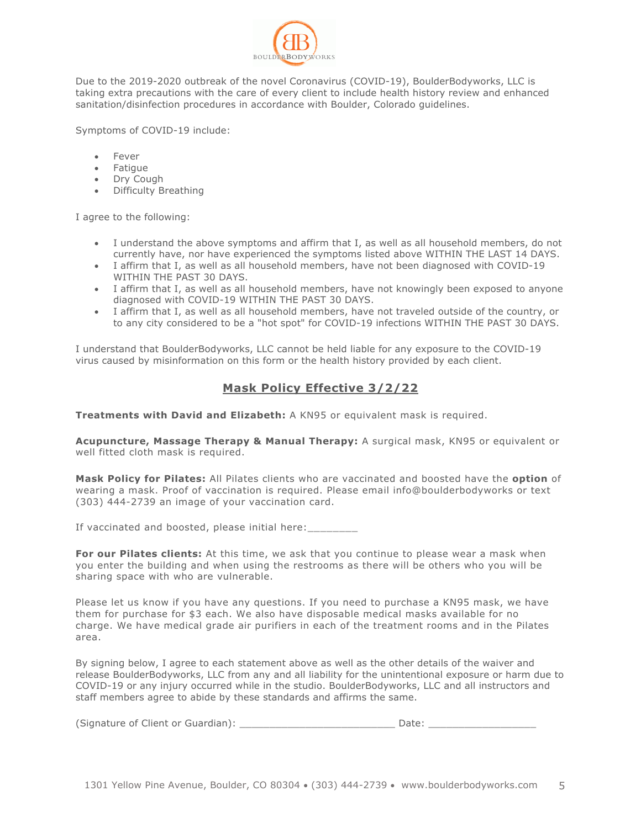

Due to the 2019-2020 outbreak of the novel Coronavirus (COVID-19), BoulderBodyworks, LLC is taking extra precautions with the care of every client to include health history review and enhanced sanitation/disinfection procedures in accordance with Boulder, Colorado guidelines.

Symptoms of COVID-19 include:

- **Fever**
- Fatigue
- Dry Cough
- Difficulty Breathing

I agree to the following:

- I understand the above symptoms and affirm that I, as well as all household members, do not currently have, nor have experienced the symptoms listed above WITHIN THE LAST 14 DAYS.
- I affirm that I, as well as all household members, have not been diagnosed with COVID-19 WITHIN THE PAST 30 DAYS.
- I affirm that I, as well as all household members, have not knowingly been exposed to anyone diagnosed with COVID-19 WITHIN THE PAST 30 DAYS.
- I affirm that I, as well as all household members, have not traveled outside of the country, or to any city considered to be a "hot spot" for COVID-19 infections WITHIN THE PAST 30 DAYS.

I understand that BoulderBodyworks, LLC cannot be held liable for any exposure to the COVID-19 virus caused by misinformation on this form or the health history provided by each client.

## **Mask Policy Effective 3/2/22**

**Treatments with David and Elizabeth:** A KN95 or equivalent mask is required.

**Acupuncture, Massage Therapy & Manual Therapy:** A surgical mask, KN95 or equivalent or well fitted cloth mask is required.

**Mask Policy for Pilates:** All Pilates clients who are vaccinated and boosted have the **option** of wearing a mask. Proof of vaccination is required. Please email info@boulderbodyworks or text (303) 444-2739 an image of your vaccination card.

If vaccinated and boosted, please initial here:

**For our Pilates clients:** At this time, we ask that you continue to please wear a mask when you enter the building and when using the restrooms as there will be others who you will be sharing space with who are vulnerable.

Please let us know if you have any questions. If you need to purchase a KN95 mask, we have them for purchase for \$3 each. We also have disposable medical masks available for no charge. We have medical grade air purifiers in each of the treatment rooms and in the Pilates area.

By signing below, I agree to each statement above as well as the other details of the waiver and release BoulderBodyworks, LLC from any and all liability for the unintentional exposure or harm due to COVID-19 or any injury occurred while in the studio. BoulderBodyworks, LLC and all instructors and staff members agree to abide by these standards and affirms the same.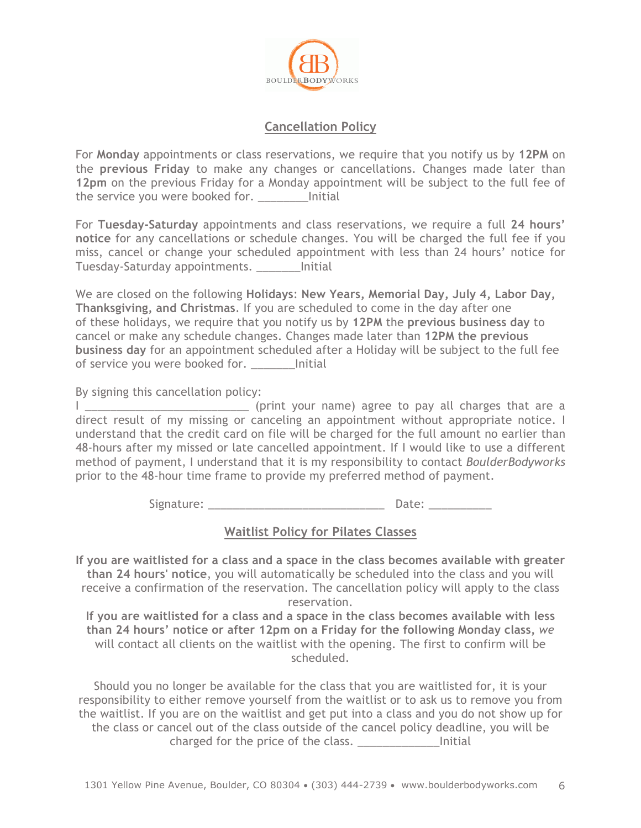

### **Cancellation Policy**

For **Monday** appointments or class reservations, we require that you notify us by **12PM** on the **previous Friday** to make any changes or cancellations. Changes made later than **12pm** on the previous Friday for a Monday appointment will be subject to the full fee of the service you were booked for. \_\_\_\_\_\_\_\_Initial

For **Tuesday-Saturday** appointments and class reservations*,* we require a full **24 hours' notice** for any cancellations or schedule changes. You will be charged the full fee if you miss, cancel or change your scheduled appointment with less than 24 hours' notice for Tuesday-Saturday appointments. \_\_\_\_\_\_\_Initial

We are closed on the following **Holidays**: **New Years, Memorial Day, July 4, Labor Day, Thanksgiving, and Christmas**. If you are scheduled to come in the day after one of these holidays, we require that you notify us by **12PM** the **previous business day** to cancel or make any schedule changes. Changes made later than **12PM the previous business day** for an appointment scheduled after a Holiday will be subject to the full fee of service you were booked for. \_\_\_\_\_\_\_\_ Initial

By signing this cancellation policy:

I \_\_\_\_\_\_\_\_\_\_\_\_\_\_\_\_\_\_\_\_\_\_\_\_\_\_ (print your name) agree to pay all charges that are a direct result of my missing or canceling an appointment without appropriate notice. I understand that the credit card on file will be charged for the full amount no earlier than 48-hours after my missed or late cancelled appointment. If I would like to use a different method of payment, I understand that it is my responsibility to contact *BoulderBodyworks* prior to the 48-hour time frame to provide my preferred method of payment.

Signature: \_\_\_\_\_\_\_\_\_\_\_\_\_\_\_\_\_\_\_\_\_\_\_\_\_\_\_\_ Date: \_\_\_\_\_\_\_\_\_\_

## **Waitlist Policy for Pilates Classes**

**If you are waitlisted for a class and a space in the class becomes available with greater than 24 hours' notice**, you will automatically be scheduled into the class and you will receive a confirmation of the reservation. The cancellation policy will apply to the class reservation.

**If you are waitlisted for a class and a space in the class becomes available with less than 24 hours' notice or after 12pm on a Friday for the following Monday class,** *we*  will contact all clients on the waitlist with the opening. The first to confirm will be scheduled.

Should you no longer be available for the class that you are waitlisted for, it is your responsibility to either remove yourself from the waitlist or to ask us to remove you from the waitlist. If you are on the waitlist and get put into a class and you do not show up for the class or cancel out of the class outside of the cancel policy deadline, you will be charged for the price of the class. \_\_\_\_\_\_\_\_\_\_\_\_\_Initial